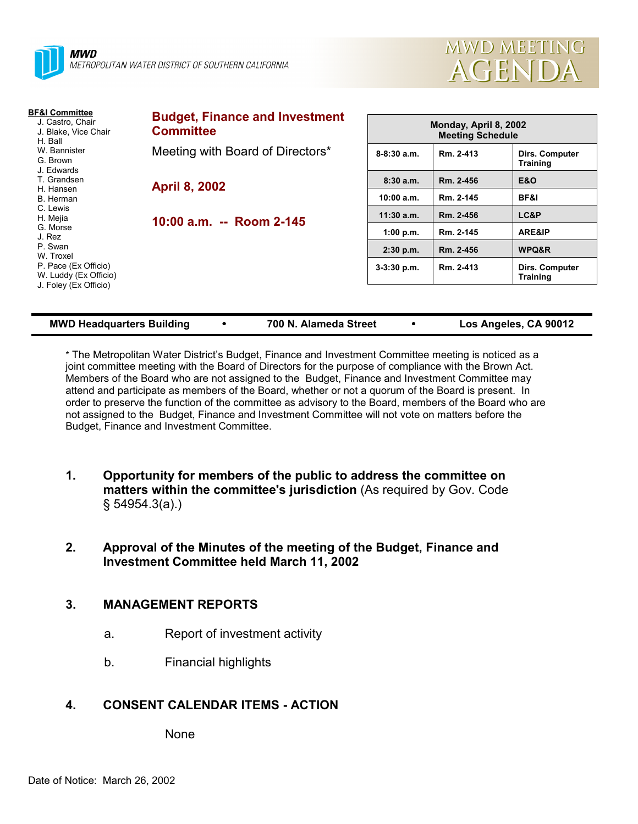



| <b>Budget, Finance and Investment</b> | Monday, April 8, 2002<br><b>Meeting Schedule</b>                                                         |           |                                          |  |
|---------------------------------------|----------------------------------------------------------------------------------------------------------|-----------|------------------------------------------|--|
|                                       | $8 - 8:30$ a.m.                                                                                          | Rm. 2-413 | Dirs. Computer<br><b>Training</b>        |  |
|                                       | 8:30a.m.                                                                                                 | Rm. 2-456 | <b>E&amp;O</b>                           |  |
|                                       | 10:00 a.m.                                                                                               | Rm. 2-145 | BF&I                                     |  |
|                                       | $11:30$ a.m.                                                                                             | Rm. 2-456 | LC&P                                     |  |
|                                       | 1:00 p.m.                                                                                                | Rm. 2-145 | ARE&IP                                   |  |
|                                       | $2:30$ p.m.                                                                                              | Rm. 2-456 | WPQ&R                                    |  |
|                                       | $3-3:30$ p.m.                                                                                            | Rm. 2-413 | <b>Dirs. Computer</b><br><b>Training</b> |  |
|                                       | <b>Committee</b><br>Meeting with Board of Directors*<br><b>April 8, 2002</b><br>10:00 a.m. -- Room 2-145 |           |                                          |  |

| <b>MWD Headquarters Building</b> |  | 700 N. Alameda Street |  | Los Angeles, CA 90012 |
|----------------------------------|--|-----------------------|--|-----------------------|
|----------------------------------|--|-----------------------|--|-----------------------|

\* The Metropolitan Water District's Budget, Finance and Investment Committee meeting is noticed as a joint committee meeting with the Board of Directors for the purpose of compliance with the Brown Act. Members of the Board who are not assigned to the Budget, Finance and Investment Committee may attend and participate as members of the Board, whether or not a quorum of the Board is present. In order to preserve the function of the committee as advisory to the Board, members of the Board who are not assigned to the Budget, Finance and Investment Committee will not vote on matters before the Budget, Finance and Investment Committee.

- **1. Opportunity for members of the public to address the committee on matters within the committee's jurisdiction** (As required by Gov. Code § 54954.3(a).)
- **2. Approval of the Minutes of the meeting of the Budget, Finance and Investment Committee held March 11, 2002**

# **3. MANAGEMENT REPORTS**

- a. Report of investment activity
- b. Financial highlights

# **4. CONSENT CALENDAR ITEMS - ACTION**

None